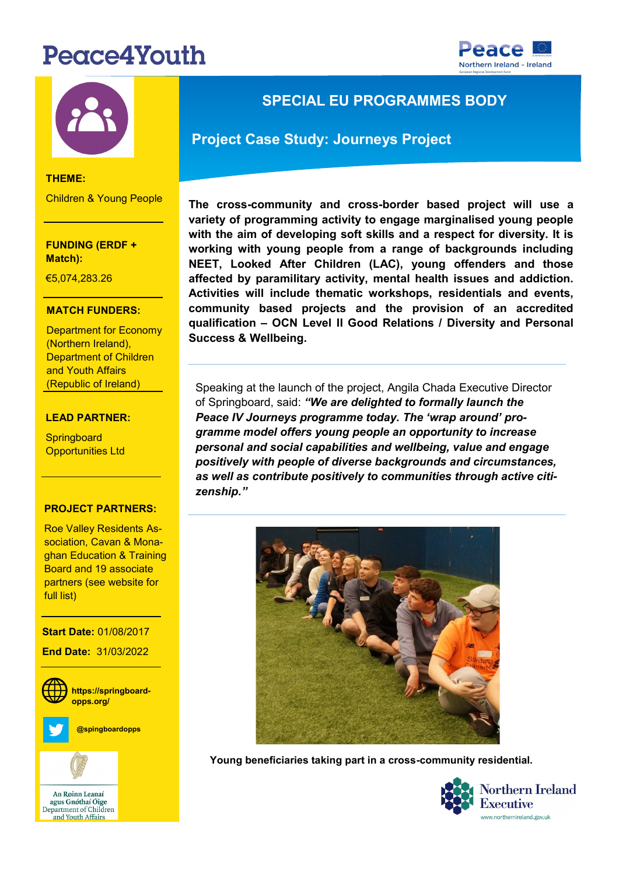# Peace4Youth





#### **THEME:** Children & Young People

**FUNDING (ERDF + Match):** 

**THEME:** €5,074,283.26

### **MATCH FUNDERS:**

Department for Economy Department of Children (Northern Ireland), and Youth Affairs (Republic of Ireland)

#### **LEAD PARTNER:**

**Springboard** Opportunities Ltd

## **PROJECT PARTNERS:**

- Norther Ireland

Roe Valley Residents Association, Cavan & Mona<mark>-</mark> **PROJECT CONTACT:** partners (see website for ghan Education & Training Board and 19 associate full list)

**WEBSITE: End Date:** 31/03/2022 **Social Media: https://springboardopps.org/ Start Date:** 01/08/2017 **@spingboardopps**



## **SPECIAL EU PROGRAMMES BODY**

### **Project Case Study: Journeys Project**

**The cross-community and cross-border based project will use a variety of programming activity to engage marginalised young people with the aim of developing soft skills and a respect for diversity. It is working with young people from a range of backgrounds including NEET, Looked After Children (LAC), young offenders and those affected by paramilitary activity, mental health issues and addiction. Activities will include thematic workshops, residentials and events, community based projects and the provision of an accredited qualification – OCN Level II Good Relations / Diversity and Personal Success & Wellbeing.**

Speaking at the launch of the project, Angila Chada Executive Director of Springboard, said: *"We are delighted to formally launch the Peace IV Journeys programme today. The 'wrap around' programme model offers young people an opportunity to increase personal and social capabilities and wellbeing, value and engage positively with people of diverse backgrounds and circumstances, as well as contribute positively to communities through active citizenship."* 



**Young beneficiaries taking part in a cross-community residential.**